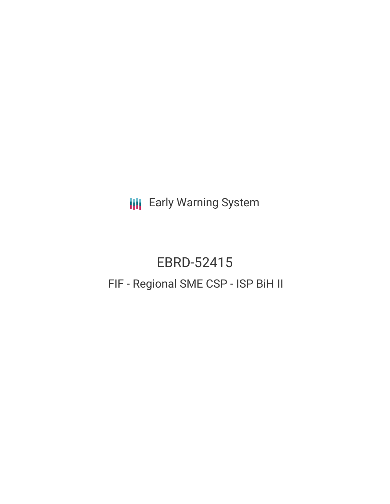**III** Early Warning System

# EBRD-52415 FIF - Regional SME CSP - ISP BiH II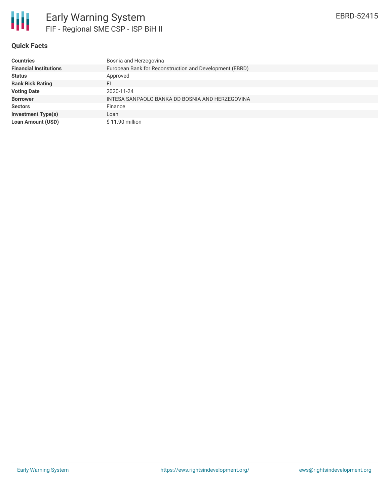

# **Quick Facts**

| <b>Countries</b>              | Bosnia and Herzegovina                                  |
|-------------------------------|---------------------------------------------------------|
| <b>Financial Institutions</b> | European Bank for Reconstruction and Development (EBRD) |
| <b>Status</b>                 | Approved                                                |
| <b>Bank Risk Rating</b>       | FI                                                      |
| <b>Voting Date</b>            | 2020-11-24                                              |
| <b>Borrower</b>               | INTESA SANPAOLO BANKA DD BOSNIA AND HERZEGOVINA         |
| <b>Sectors</b>                | Finance                                                 |
| <b>Investment Type(s)</b>     | Loan                                                    |
| <b>Loan Amount (USD)</b>      | $$11.90$ million                                        |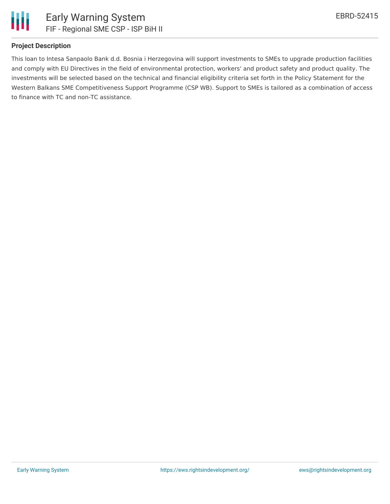

## **Project Description**

This loan to Intesa Sanpaolo Bank d.d. Bosnia i Herzegovina will support investments to SMEs to upgrade production facilities and comply with EU Directives in the field of environmental protection, workers' and product safety and product quality. The investments will be selected based on the technical and financial eligibility criteria set forth in the Policy Statement for the Western Balkans SME Competitiveness Support Programme (CSP WB). Support to SMEs is tailored as a combination of access to finance with TC and non-TC assistance.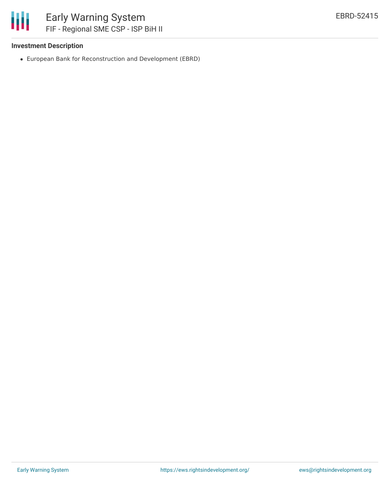

## **Investment Description**

European Bank for Reconstruction and Development (EBRD)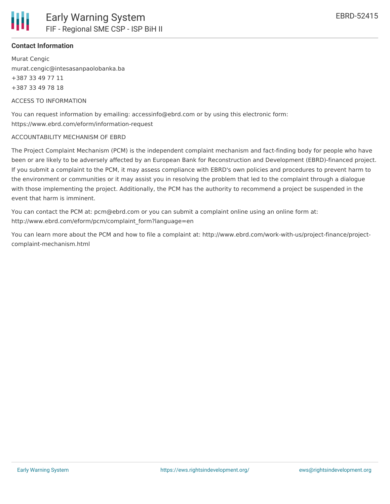

Murat Cengic murat.cengic@intesasanpaolobanka.ba +387 33 49 77 11 +387 33 49 78 18

ACCESS TO INFORMATION

You can request information by emailing: accessinfo@ebrd.com or by using this electronic form: https://www.ebrd.com/eform/information-request

#### ACCOUNTABILITY MECHANISM OF EBRD

The Project Complaint Mechanism (PCM) is the independent complaint mechanism and fact-finding body for people who have been or are likely to be adversely affected by an European Bank for Reconstruction and Development (EBRD)-financed project. If you submit a complaint to the PCM, it may assess compliance with EBRD's own policies and procedures to prevent harm to the environment or communities or it may assist you in resolving the problem that led to the complaint through a dialogue with those implementing the project. Additionally, the PCM has the authority to recommend a project be suspended in the event that harm is imminent.

You can contact the PCM at: pcm@ebrd.com or you can submit a complaint online using an online form at: http://www.ebrd.com/eform/pcm/complaint\_form?language=en

You can learn more about the PCM and how to file a complaint at: http://www.ebrd.com/work-with-us/project-finance/projectcomplaint-mechanism.html